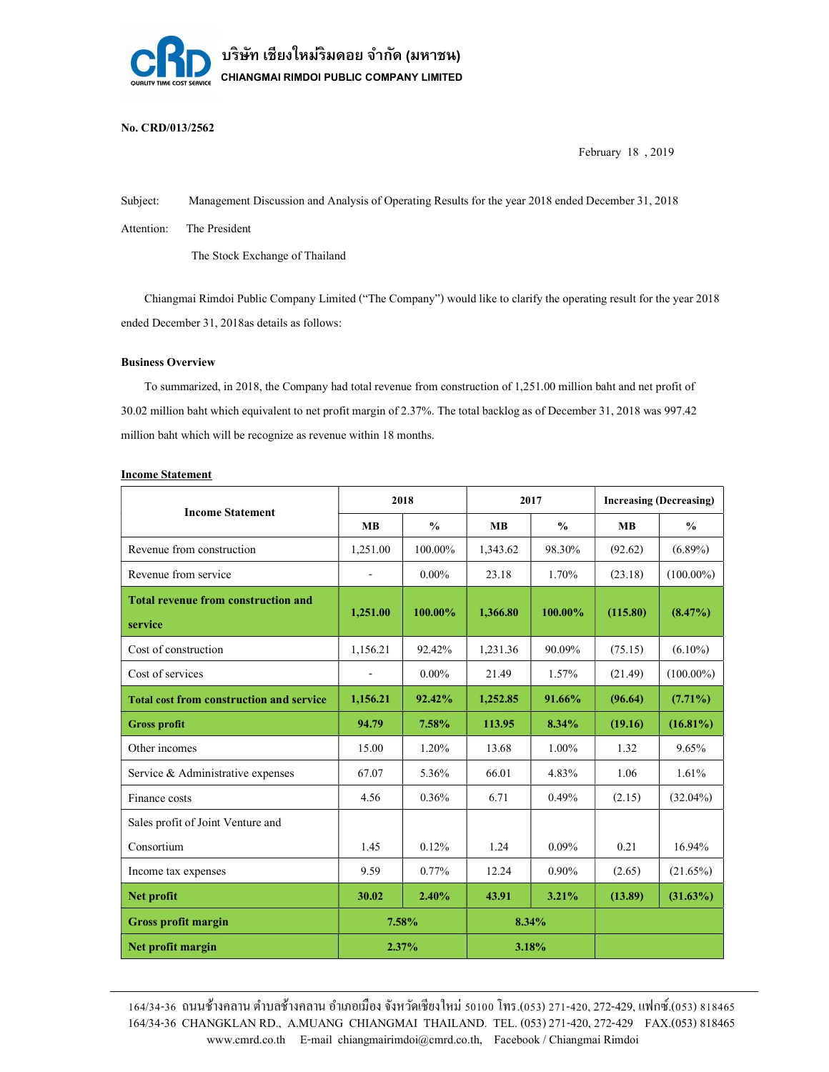

# No. CRD/013/2562

February 18 , 2019

Subject: Management Discussion and Analysis of Operating Results for the year 2018 ended December 31, 2018

Attention: The President

The Stock Exchange of Thailand

 Chiangmai Rimdoi Public Company Limited ("The Company") would like to clarify the operating result for the year 2018 ended December 31, 2018as details as follows:

### Business Overview

 To summarized, in 2018, the Company had total revenue from construction of 1,251.00 million baht and net profit of 30.02 million baht which equivalent to net profit margin of 2.37%. The total backlog as of December 31, 2018 was 997.42 million baht which will be recognize as revenue within 18 months.

| <b>Income Statement</b> |
|-------------------------|
|                         |

| <b>Income Statement</b>                               | 2018                     |               | 2017      |               | <b>Increasing (Decreasing)</b> |               |
|-------------------------------------------------------|--------------------------|---------------|-----------|---------------|--------------------------------|---------------|
|                                                       | <b>MB</b>                | $\frac{0}{0}$ | <b>MB</b> | $\frac{0}{0}$ | <b>MB</b>                      | $\frac{0}{0}$ |
| Revenue from construction                             | 1,251.00                 | 100.00%       | 1,343.62  | 98.30%        | (92.62)                        | $(6.89\%)$    |
| Revenue from service                                  | $\overline{\phantom{0}}$ | $0.00\%$      | 23.18     | 1.70%         | (23.18)                        | $(100.00\%)$  |
| <b>Total revenue from construction and</b><br>service | 1,251.00                 | 100.00%       | 1,366.80  | 100.00%       | (115.80)                       | $(8.47\%)$    |
| Cost of construction                                  | 1,156.21                 | 92,42%        | 1,231.36  | 90.09%        | (75.15)                        | $(6.10\%)$    |
| Cost of services                                      | $\overline{\phantom{a}}$ | $0.00\%$      | 21.49     | 1.57%         | (21.49)                        | $(100.00\%)$  |
| <b>Total cost from construction and service</b>       | 1,156.21                 | 92.42%        | 1,252.85  | 91.66%        | (96.64)                        | $(7.71\%)$    |
| <b>Gross profit</b>                                   | 94.79                    | 7.58%         | 113.95    | $8.34\%$      | (19.16)                        | $(16.81\%)$   |
| Other incomes                                         | 15.00                    | 1.20%         | 13.68     | $1.00\%$      | 1.32                           | 9.65%         |
| Service & Administrative expenses                     | 67.07                    | 5.36%         | 66.01     | 4.83%         | 1.06                           | 1.61%         |
| Finance costs                                         | 4.56                     | 0.36%         | 6.71      | 0.49%         | (2.15)                         | $(32.04\%)$   |
| Sales profit of Joint Venture and                     |                          |               |           |               |                                |               |
| Consortium                                            | 1.45                     | 0.12%         | 1.24      | $0.09\%$      | 0.21                           | 16.94%        |
| Income tax expenses                                   | 9.59                     | $0.77\%$      | 12.24     | $0.90\%$      | (2.65)                         | $(21.65\%)$   |
| Net profit                                            | 30.02                    | 2.40%         | 43.91     | $3.21\%$      | (13.89)                        | $(31.63\%)$   |
| <b>Gross profit margin</b>                            | 7.58%                    |               | 8.34%     |               |                                |               |
| Net profit margin                                     | 2.37%                    |               | 3.18%     |               |                                |               |

 www.cmrd.co.th E-mail chiangmairimdoi@cmrd.co.th, Facebook / Chiangmai Rimdoi 164/34-36 CHANGKLAN RD., A.MUANG CHIANGMAI THAILAND. TEL. (053) 271-420,272-429 FAX.(053) 818465 164/34-36 ถนนช้างคลาน ตำบลช้างคลาน อำเภอเมือง จังหวัดเชียงใหม่ ร0100 โทร.(053) 271-420, 272-429, แฟกซ์.(053) 818465